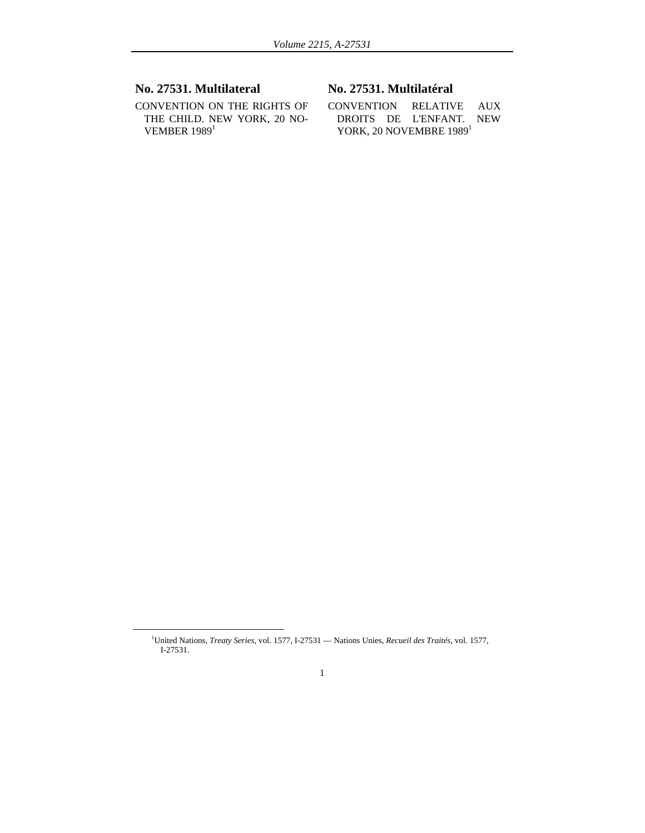## **No. 27531. Multilateral**

CONVENTION ON THE RIGHTS OF THE CHILD. NEW YORK, 20 NO-VEMBER  $1989<sup>1</sup>$ 

# **No. 27531. Multilatéral**

CONVENTION RELATIVE AUX DROITS DE L'ENFANT. NEW YORK, 20 NOVEMBRE 1989<sup>1</sup>

<sup>1&</sup>lt;sup>1</sup> United Nations, *Treaty Series,* vol. 1577, I-27531 — Nations Unies, *Recueil des Traités,* vol. 1577, I-27531.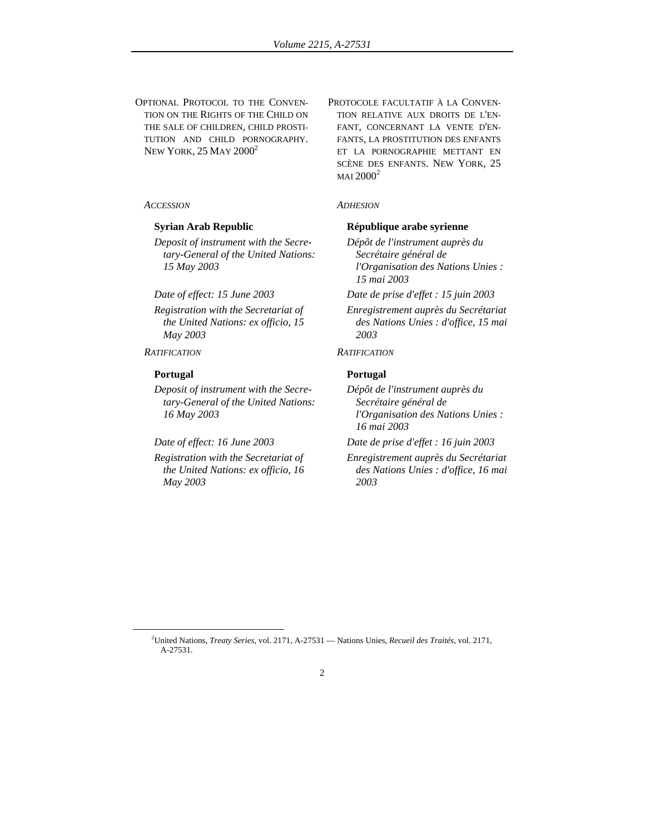OPTIONAL PROTOCOL TO THE CONVEN-TION ON THE RIGHTS OF THE CHILD ON THE SALE OF CHILDREN, CHILD PROSTI-TUTION AND CHILD PORNOGRAPHY. NEW YORK, 25 MAY 2000<sup>2</sup>

### *ACCESSION ADHESION*

*Deposit of instrument with the Secretary-General of the United Nations: 15 May 2003* 

- *Registration with the Secretariat of the United Nations: ex officio, 15 May 2003*
- *RATIFICATION RATIFICATION*

### **Portugal Portugal**

- *Deposit of instrument with the Secretary-General of the United Nations: 16 May 2003*
- 
- *Registration with the Secretariat of the United Nations: ex officio, 16 May 2003*

PROTOCOLE FACULTATIF À LA CONVEN-TION RELATIVE AUX DROITS DE L'EN-FANT, CONCERNANT LA VENTE D'EN-FANTS, LA PROSTITUTION DES ENFANTS ET LA PORNOGRAPHIE METTANT EN SCÈNE DES ENFANTS. NEW YORK, 25  $MAI$  2000<sup>2</sup>

### **Syrian Arab Republic République arabe syrienne**

- *Dépôt de l'instrument auprès du Secrétaire général de l'Organisation des Nations Unies : 15 mai 2003*
- *Date of effect: 15 June 2003 Date de prise d'effet : 15 juin 2003* 
	- *Enregistrement auprès du Secrétariat des Nations Unies : d'office, 15 mai 2003*

*Dépôt de l'instrument auprès du Secrétaire général de l'Organisation des Nations Unies : 16 mai 2003* 

*Date of effect: 16 June 2003 Date de prise d'effet : 16 juin 2003* 

*Enregistrement auprès du Secrétariat des Nations Unies : d'office, 16 mai 2003* 

 $\overline{2}$ United Nations, *Treaty Series,* vol. 2171, A-27531 — Nations Unies, *Recueil des Traités,* vol. 2171, A-27531.